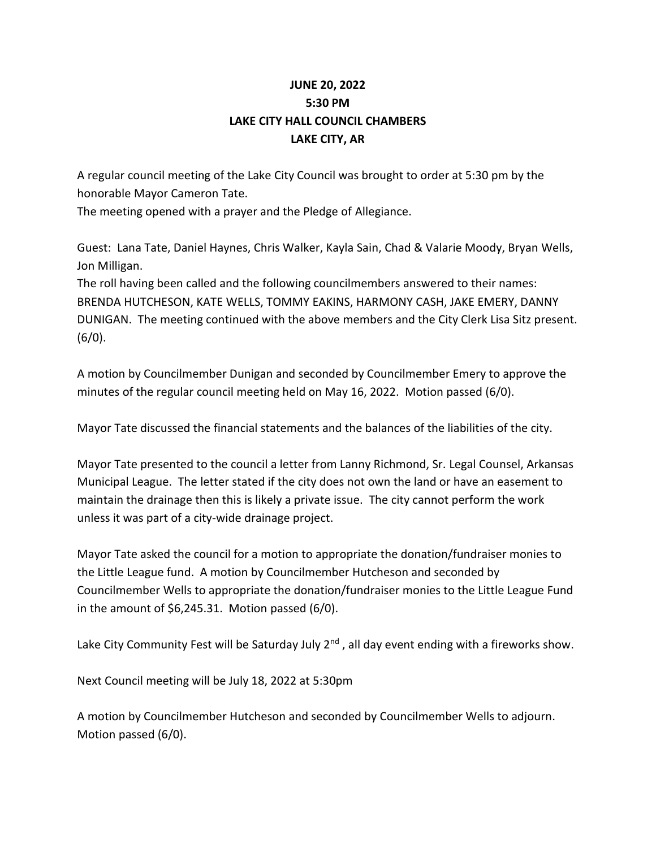## **JUNE 20, 2022 5:30 PM LAKE CITY HALL COUNCIL CHAMBERS LAKE CITY, AR**

A regular council meeting of the Lake City Council was brought to order at 5:30 pm by the honorable Mayor Cameron Tate.

The meeting opened with a prayer and the Pledge of Allegiance.

Guest: Lana Tate, Daniel Haynes, Chris Walker, Kayla Sain, Chad & Valarie Moody, Bryan Wells, Jon Milligan.

The roll having been called and the following councilmembers answered to their names: BRENDA HUTCHESON, KATE WELLS, TOMMY EAKINS, HARMONY CASH, JAKE EMERY, DANNY DUNIGAN. The meeting continued with the above members and the City Clerk Lisa Sitz present.  $(6/0).$ 

A motion by Councilmember Dunigan and seconded by Councilmember Emery to approve the minutes of the regular council meeting held on May 16, 2022. Motion passed (6/0).

Mayor Tate discussed the financial statements and the balances of the liabilities of the city.

Mayor Tate presented to the council a letter from Lanny Richmond, Sr. Legal Counsel, Arkansas Municipal League. The letter stated if the city does not own the land or have an easement to maintain the drainage then this is likely a private issue. The city cannot perform the work unless it was part of a city-wide drainage project.

Mayor Tate asked the council for a motion to appropriate the donation/fundraiser monies to the Little League fund. A motion by Councilmember Hutcheson and seconded by Councilmember Wells to appropriate the donation/fundraiser monies to the Little League Fund in the amount of  $$6,245.31$ . Motion passed  $(6/0)$ .

Lake City Community Fest will be Saturday July 2<sup>nd</sup>, all day event ending with a fireworks show.

Next Council meeting will be July 18, 2022 at 5:30pm

A motion by Councilmember Hutcheson and seconded by Councilmember Wells to adjourn. Motion passed (6/0).